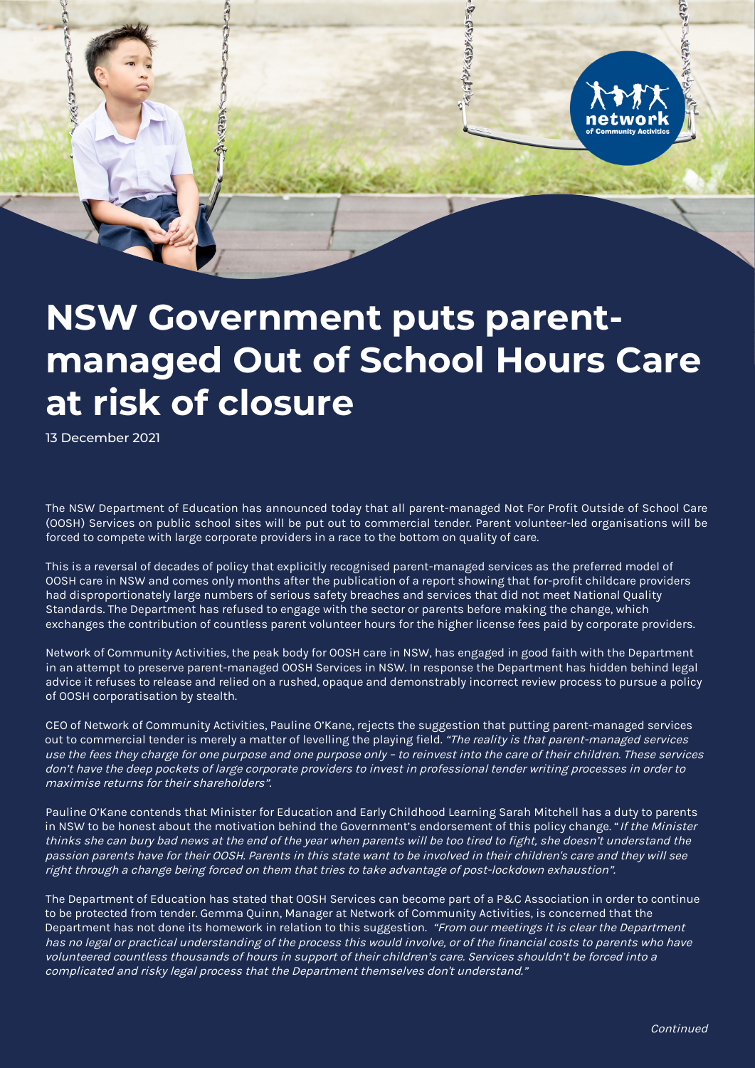

## **NSW Government puts parentmanaged Out of School Hours Care at risk of closure**

13 December 2021

The NSW Department of Education has announced today that all parent-managed Not For Profit Outside of School Care (OOSH) Services on public school sites will be put out to commercial tender. Parent volunteer-led organisations will be forced to compete with large corporate providers in a race to the bottom on quality of care.

This is a reversal of decades of policy that explicitly recognised parent-managed services as the preferred model of OOSH care in NSW and comes only months after the publication of a report showing that for-profit childcare providers had disproportionately large numbers of serious safety breaches and services that did not meet National Quality Standards. The Department has refused to engage with the sector or parents before making the change, which exchanges the contribution of countless parent volunteer hours for the higher license fees paid by corporate providers.

Network of Community Activities, the peak body for OOSH care in NSW, has engaged in good faith with the Department in an attempt to preserve parent-managed OOSH Services in NSW. In response the Department has hidden behind legal advice it refuses to release and relied on a rushed, opaque and demonstrably incorrect review process to pursue a policy of OOSH corporatisation by stealth.

CEO of Network of Community Activities, Pauline O'Kane, rejects the suggestion that putting parent-managed services out to commercial tender is merely a matter of levelling the playing field. "The reality is that parent-managed services use the fees they charge for one purpose and one purpose only – to reinvest into the care of their children. These services don't have the deep pockets of large corporate providers to invest in professional tender writing processes in order to maximise returns for their shareholders".

Pauline O'Kane contends that Minister for Education and Early Childhood Learning Sarah Mitchell has a duty to parents in NSW to be honest about the motivation behind the Government's endorsement of this policy change. "If the Minister thinks she can bury bad news at the end of the year when parents will be too tired to fight, she doesn't understand the passion parents have for their OOSH. Parents in this state want to be involved in their children's care and they will see right through a change being forced on them that tries to take advantage of post-lockdown exhaustion".

The Department of Education has stated that OOSH Services can become part of a P&C Association in order to continue to be protected from tender. Gemma Quinn, Manager at Network of Community Activities, is concerned that the Department has not done its homework in relation to this suggestion. "From our meetings it is clear the Department has no legal or practical understanding of the process this would involve, or of the financial costs to parents who have volunteered countless thousands of hours in support of their children's care. Services shouldn't be forced into a complicated and risky legal process that the Department themselves don't understand."